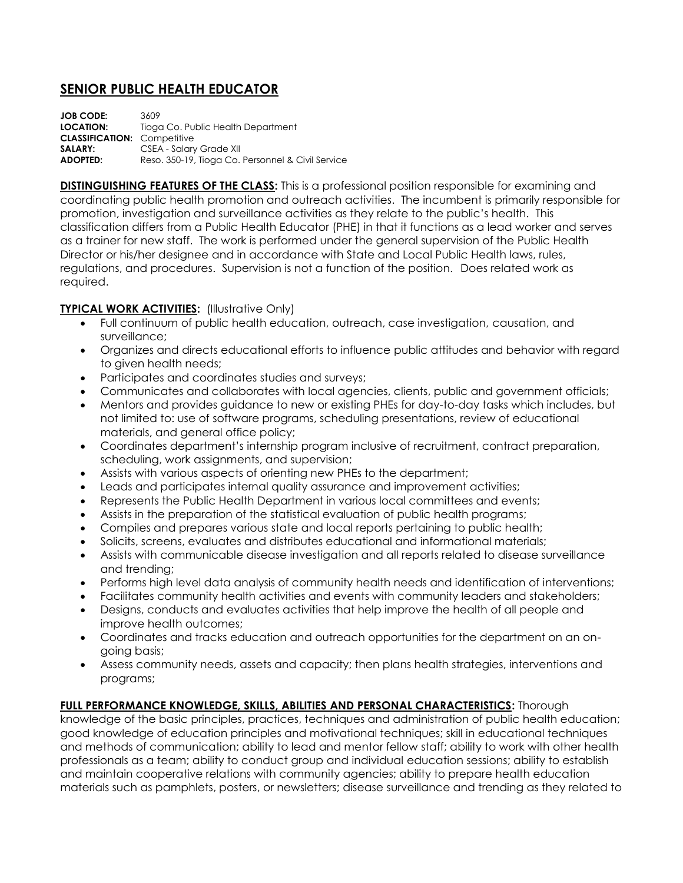# **SENIOR PUBLIC HEALTH EDUCATOR**

**JOB CODE:** 3609 **LOCATION:** Tioga Co. Public Health Department **CLASSIFICATION:** Competitive **SALARY:** CSEA - Salary Grade XII **ADOPTED:** Reso. 350-19, Tioga Co. Personnel & Civil Service

**DISTINGUISHING FEATURES OF THE CLASS:** This is a professional position responsible for examining and coordinating public health promotion and outreach activities. The incumbent is primarily responsible for promotion, investigation and surveillance activities as they relate to the public's health. This classification differs from a Public Health Educator (PHE) in that it functions as a lead worker and serves as a trainer for new staff. The work is performed under the general supervision of the Public Health Director or his/her designee and in accordance with State and Local Public Health laws, rules, regulations, and procedures. Supervision is not a function of the position. Does related work as required.

# **TYPICAL WORK ACTIVITIES:** (Illustrative Only)

- Full continuum of public health education, outreach, case investigation, causation, and surveillance;
- Organizes and directs educational efforts to influence public attitudes and behavior with regard to given health needs;
- Participates and coordinates studies and surveys;
- Communicates and collaborates with local agencies, clients, public and government officials;
- Mentors and provides guidance to new or existing PHEs for day-to-day tasks which includes, but not limited to: use of software programs, scheduling presentations, review of educational materials, and general office policy;
- Coordinates department's internship program inclusive of recruitment, contract preparation, scheduling, work assignments, and supervision;
- Assists with various aspects of orienting new PHEs to the department;
- Leads and participates internal quality assurance and improvement activities;
- Represents the Public Health Department in various local committees and events;
- Assists in the preparation of the statistical evaluation of public health programs;
- Compiles and prepares various state and local reports pertaining to public health;
- Solicits, screens, evaluates and distributes educational and informational materials;
- Assists with communicable disease investigation and all reports related to disease surveillance and trending;
- Performs high level data analysis of community health needs and identification of interventions;
- Facilitates community health activities and events with community leaders and stakeholders;
- Designs, conducts and evaluates activities that help improve the health of all people and improve health outcomes;
- Coordinates and tracks education and outreach opportunities for the department on an ongoing basis;
- Assess community needs, assets and capacity; then plans health strategies, interventions and programs;

# **FULL PERFORMANCE KNOWLEDGE, SKILLS, ABILITIES AND PERSONAL CHARACTERISTICS:** Thorough

knowledge of the basic principles, practices, techniques and administration of public health education; good knowledge of education principles and motivational techniques; skill in educational techniques and methods of communication; ability to lead and mentor fellow staff; ability to work with other health professionals as a team; ability to conduct group and individual education sessions; ability to establish and maintain cooperative relations with community agencies; ability to prepare health education materials such as pamphlets, posters, or newsletters; disease surveillance and trending as they related to